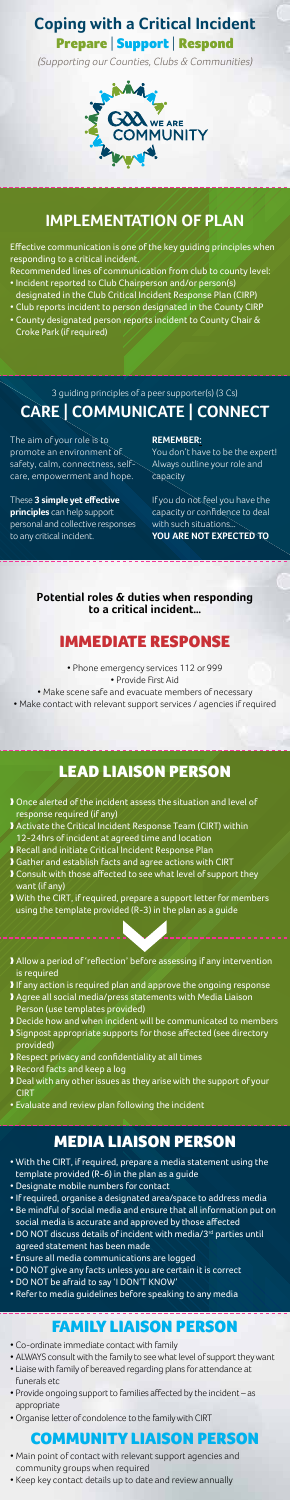**Coping with a Critical Incident**

Prepare | Support | Respond

(Supporting our Counties, Clubs & Communities)



## **Implementation of Plan**

Effective communication is one of the key guiding principles when responding to a critical incident.

- Recommended lines of communication from club to county level: • Incident reported to Club Chairperson and/or person(s)
- designated in the Club Critical Incident Response Plan (CIRP)
- Club reports incident to person designated in the County CIRP
- County designated person reports incident to County Chair & Croke Park (if required)

# Lead Liaison Person

#### **Potential roles & duties when responding to a critical incident…**

## Immediate Response

• Phone emergency services 112 or 999 • Provide First Aid • Make scene safe and evacuate members of necessary

• Make contact with relevant support services / agencies if required

## Family Liaison Person

# Media Liaison Person

3 guiding principles of a peer supporter(s) (3 Cs)

# **CARE | COMMUNICATE | CONNECT**

The aim of your role is to promote an environment of safety, calm, connectness, selfcare, empowerment and hope.

#### These **3 simple yet effective principles** can help support

personal and collective responses to any critical incident.

**REMEMBER:**

You don't have to be the expert! Always outline your role and capacity

If you do not feel you have the capacity or confidence to deal with such situations... $\overline{\ }$ **YOU ARE NOT EXPECTED TO**

- ❱ Once alerted of the incident assess the situation and level of response required (if any)
- ❱ Activate the Critical Incident Response Team (CIRT) within
- 12-24hrs of incident at agreed time and location
- ❱ Recall and initiate Critical Incident Response Plan
- ❱ Gather and establish facts and agree actions with CIRT
- ❱ Consult with those affected to see what level of support they want (if any)
- ❱ With the CIRT, if required, prepare a support letter for members using the template provided (R-3) in the plan as a guide
- ❱ Allow a period of 'reflection' before assessing if any intervention is required
- If any action is required plan and approve the ongoing response ❱ Agree all social media/press statements with Media Liaison Person (use templates provided)
- ❱ Decide how and when incident will be communicated to members ❱ Signpost appropriate supports for those affected (see directory
- provided) ❱ Respect privacy and confidentiality at all times
- ❱ Record facts and keep a log
- ❱ Deal with any other issues as they arise with the support of your
- **CIRT**
- Evaluate and review plan following the incident

- With the CIRT, if required, prepare a media statement using the template provided (R-6) in the plan as a guide
- Designate mobile numbers for contact
- If required, organise a designated area/space to address media
- Be mindful of social media and ensure that all information put on social media is accurate and approved by those affected
- DO NOT discuss details of incident with media/3<sup>rd</sup> parties until agreed statement has been made
- Ensure all media communications are logged
- DO NOT give any facts unless you are certain it is correct
- DO NOT be afraid to say 'I DON'T KNOW'
- Refer to media guidelines before speaking to any media

- Co-ordinate immediate contact with family
- ALWAYS consult with the family to see what level of support they want
- Liaise with family of bereaved regarding plans for attendance at funerals etc
- Provide ongoing support to families affected by the incident as appropriate
- Organise letter of condolence to the family with CIRT

- Main point of contact with relevant support agencies and community groups when required
- Keep key contact details up to date and review annually

## Community Liaison Person